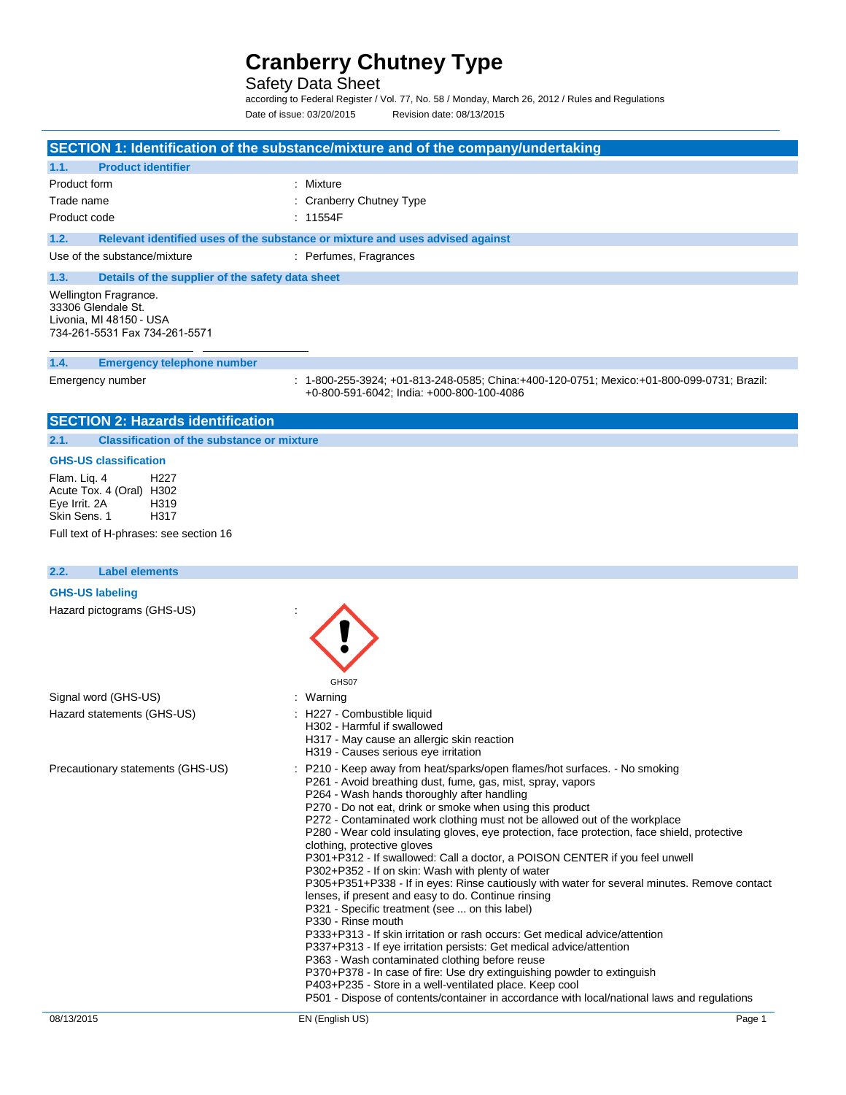Safety Data Sheet

according to Federal Register / Vol. 77, No. 58 / Monday, March 26, 2012 / Rules and Regulations Date of issue: 03/20/2015 Revision date: 08/13/2015

|                                                                                                                | SECTION 1: Identification of the substance/mixture and of the company/undertaking                                                      |
|----------------------------------------------------------------------------------------------------------------|----------------------------------------------------------------------------------------------------------------------------------------|
| <b>Product identifier</b><br>1.1.                                                                              |                                                                                                                                        |
| Product form                                                                                                   | : Mixture                                                                                                                              |
| Trade name                                                                                                     | : Cranberry Chutney Type                                                                                                               |
| Product code                                                                                                   | : 11554F                                                                                                                               |
| 1.2.                                                                                                           | Relevant identified uses of the substance or mixture and uses advised against                                                          |
| Use of the substance/mixture                                                                                   | : Perfumes, Fragrances                                                                                                                 |
| 1.3.<br>Details of the supplier of the safety data sheet                                                       |                                                                                                                                        |
| Wellington Fragrance.<br>33306 Glendale St.<br>Livonia, MI 48150 - USA<br>734-261-5531 Fax 734-261-5571        |                                                                                                                                        |
| <b>Emergency telephone number</b><br>1.4.                                                                      |                                                                                                                                        |
| Emergency number                                                                                               | : 1-800-255-3924; +01-813-248-0585; China:+400-120-0751; Mexico:+01-800-099-0731; Brazil:<br>+0-800-591-6042; India: +000-800-100-4086 |
| <b>SECTION 2: Hazards identification</b>                                                                       |                                                                                                                                        |
| <b>Classification of the substance or mixture</b><br>2.1.                                                      |                                                                                                                                        |
| <b>GHS-US classification</b>                                                                                   |                                                                                                                                        |
| Flam. Lig. 4<br>H <sub>22</sub> 7<br>Acute Tox. 4 (Oral) H302<br>Eye Irrit. 2A<br>H319<br>Skin Sens. 1<br>H317 |                                                                                                                                        |
| Full text of H-phrases: see section 16                                                                         |                                                                                                                                        |
| 2.2.<br><b>Label elements</b>                                                                                  |                                                                                                                                        |

| 08/13/2015                                           | EN (English US)                                                                                                                         | Page 1 |
|------------------------------------------------------|-----------------------------------------------------------------------------------------------------------------------------------------|--------|
|                                                      | P501 - Dispose of contents/container in accordance with local/national laws and regulations                                             |        |
|                                                      | P403+P235 - Store in a well-ventilated place. Keep cool                                                                                 |        |
|                                                      | P370+P378 - In case of fire: Use dry extinguishing powder to extinguish                                                                 |        |
|                                                      | P337+P313 - If eye irritation persists: Get medical advice/attention<br>P363 - Wash contaminated clothing before reuse                  |        |
|                                                      | P333+P313 - If skin irritation or rash occurs: Get medical advice/attention                                                             |        |
|                                                      | P330 - Rinse mouth                                                                                                                      |        |
|                                                      | P321 - Specific treatment (see  on this label)                                                                                          |        |
|                                                      | lenses, if present and easy to do. Continue rinsing                                                                                     |        |
|                                                      | P305+P351+P338 - If in eyes: Rinse cautiously with water for several minutes. Remove contact                                            |        |
|                                                      | P302+P352 - If on skin: Wash with plenty of water                                                                                       |        |
|                                                      | P301+P312 - If swallowed: Call a doctor, a POISON CENTER if you feel unwell                                                             |        |
|                                                      | clothing, protective gloves                                                                                                             |        |
|                                                      | P280 - Wear cold insulating gloves, eye protection, face protection, face shield, protective                                            |        |
|                                                      | P270 - Do not eat, drink or smoke when using this product<br>P272 - Contaminated work clothing must not be allowed out of the workplace |        |
|                                                      | P264 - Wash hands thoroughly after handling                                                                                             |        |
|                                                      | P261 - Avoid breathing dust, fume, gas, mist, spray, vapors                                                                             |        |
| Precautionary statements (GHS-US)                    | P210 - Keep away from heat/sparks/open flames/hot surfaces. - No smoking                                                                |        |
|                                                      | H319 - Causes serious eye irritation                                                                                                    |        |
|                                                      | H317 - May cause an allergic skin reaction                                                                                              |        |
|                                                      | H302 - Harmful if swallowed                                                                                                             |        |
| Hazard statements (GHS-US)                           | : H227 - Combustible liquid                                                                                                             |        |
| Signal word (GHS-US)                                 | : Warning                                                                                                                               |        |
|                                                      | GHS07                                                                                                                                   |        |
| <b>GHS-US labeling</b><br>Hazard pictograms (GHS-US) |                                                                                                                                         |        |
|                                                      |                                                                                                                                         |        |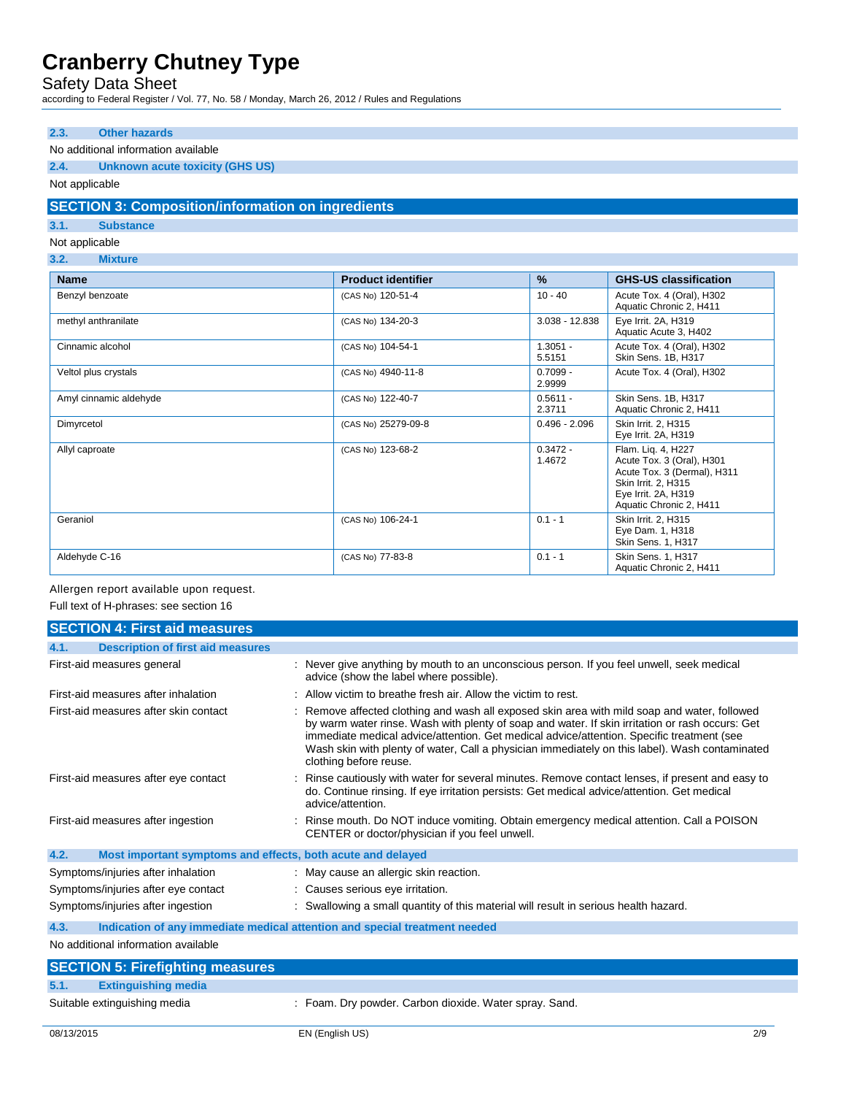Safety Data Sheet

according to Federal Register / Vol. 77, No. 58 / Monday, March 26, 2012 / Rules and Regulations

### **2.3. Other hazards**

## No additional information available

## **2.4. Unknown acute toxicity (GHS US)**

### Not applicable

### **SECTION 3: Composition/information on ingredients**

### **3.1. Substance**

### Not applicable

#### **3.2. Mixture**

| <b>Name</b>            | <b>Product identifier</b> | $\%$                 | <b>GHS-US classification</b>                                                                                                                            |
|------------------------|---------------------------|----------------------|---------------------------------------------------------------------------------------------------------------------------------------------------------|
| Benzyl benzoate        | (CAS No) 120-51-4         | $10 - 40$            | Acute Tox. 4 (Oral), H302<br>Aquatic Chronic 2, H411                                                                                                    |
| methyl anthranilate    | (CAS No) 134-20-3         | $3.038 - 12.838$     | Eye Irrit. 2A, H319<br>Aquatic Acute 3, H402                                                                                                            |
| Cinnamic alcohol       | (CAS No) 104-54-1         | $1.3051 -$<br>5.5151 | Acute Tox. 4 (Oral), H302<br>Skin Sens. 1B, H317                                                                                                        |
| Veltol plus crystals   | (CAS No) 4940-11-8        | $0.7099 -$<br>2.9999 | Acute Tox. 4 (Oral), H302                                                                                                                               |
| Amyl cinnamic aldehyde | (CAS No) 122-40-7         | $0.5611 -$<br>2.3711 | Skin Sens. 1B, H317<br>Aquatic Chronic 2, H411                                                                                                          |
| Dimyrcetol             | (CAS No) 25279-09-8       | $0.496 - 2.096$      | Skin Irrit. 2, H315<br>Eye Irrit. 2A, H319                                                                                                              |
| Allyl caproate         | (CAS No) 123-68-2         | $0.3472 -$<br>1.4672 | Flam. Liq. 4, H227<br>Acute Tox. 3 (Oral), H301<br>Acute Tox. 3 (Dermal), H311<br>Skin Irrit. 2, H315<br>Eye Irrit. 2A, H319<br>Aquatic Chronic 2, H411 |
| Geraniol               | (CAS No) 106-24-1         | $0.1 - 1$            | Skin Irrit. 2, H315<br>Eye Dam. 1, H318<br>Skin Sens. 1, H317                                                                                           |
| Aldehyde C-16          | (CAS No) 77-83-8          | $0.1 - 1$            | Skin Sens. 1, H317<br>Aquatic Chronic 2, H411                                                                                                           |

#### Allergen report available upon request.

Full text of H-phrases: see section 16

| <b>SECTION 4: First aid measures</b>                                |                                                                                                                                                                                                                                                                                                                                                                                                                          |
|---------------------------------------------------------------------|--------------------------------------------------------------------------------------------------------------------------------------------------------------------------------------------------------------------------------------------------------------------------------------------------------------------------------------------------------------------------------------------------------------------------|
| <b>Description of first aid measures</b><br>4.1.                    |                                                                                                                                                                                                                                                                                                                                                                                                                          |
| First-aid measures general                                          | : Never give anything by mouth to an unconscious person. If you feel unwell, seek medical<br>advice (show the label where possible).                                                                                                                                                                                                                                                                                     |
| First-aid measures after inhalation                                 | : Allow victim to breathe fresh air. Allow the victim to rest.                                                                                                                                                                                                                                                                                                                                                           |
| First-aid measures after skin contact                               | : Remove affected clothing and wash all exposed skin area with mild soap and water, followed<br>by warm water rinse. Wash with plenty of soap and water. If skin irritation or rash occurs: Get<br>immediate medical advice/attention. Get medical advice/attention. Specific treatment (see<br>Wash skin with plenty of water, Call a physician immediately on this label). Wash contaminated<br>clothing before reuse. |
| First-aid measures after eye contact                                | : Rinse cautiously with water for several minutes. Remove contact lenses, if present and easy to<br>do. Continue rinsing. If eye irritation persists: Get medical advice/attention. Get medical<br>advice/attention.                                                                                                                                                                                                     |
| First-aid measures after ingestion                                  | : Rinse mouth. Do NOT induce vomiting. Obtain emergency medical attention. Call a POISON<br>CENTER or doctor/physician if you feel unwell.                                                                                                                                                                                                                                                                               |
| 4.2.<br>Most important symptoms and effects, both acute and delayed |                                                                                                                                                                                                                                                                                                                                                                                                                          |
| Symptoms/injuries after inhalation                                  | : May cause an allergic skin reaction.                                                                                                                                                                                                                                                                                                                                                                                   |
| Symptoms/injuries after eye contact                                 | : Causes serious eye irritation.                                                                                                                                                                                                                                                                                                                                                                                         |
| Symptoms/injuries after ingestion                                   | : Swallowing a small quantity of this material will result in serious health hazard.                                                                                                                                                                                                                                                                                                                                     |
| 4.3.                                                                | Indication of any immediate medical attention and special treatment needed                                                                                                                                                                                                                                                                                                                                               |
| No additional information available                                 |                                                                                                                                                                                                                                                                                                                                                                                                                          |

|      | <b>SECTION 5: Firefighting measures</b> |                                                        |
|------|-----------------------------------------|--------------------------------------------------------|
| 5.1. | <b>Extinguishing media</b>              |                                                        |
|      | Suitable extinguishing media            | : Foam. Dry powder. Carbon dioxide. Water spray. Sand. |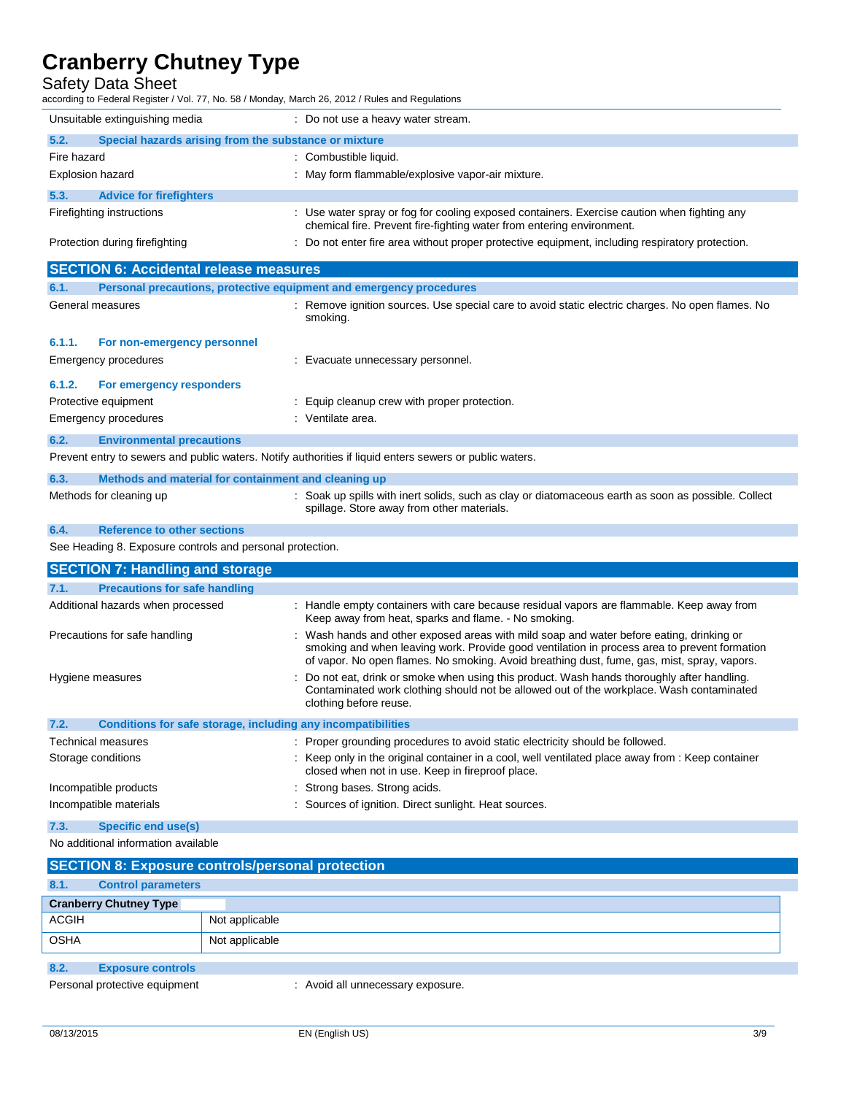Safety Data Sheet

according to Federal Register / Vol. 77, No. 58 / Monday, March 26, 2012 / Rules and Regulations

|                         | Unsuitable extinguishing media                        | : Do not use a heavy water stream.                                                                                                                                   |  |
|-------------------------|-------------------------------------------------------|----------------------------------------------------------------------------------------------------------------------------------------------------------------------|--|
| 5.2.                    | Special hazards arising from the substance or mixture |                                                                                                                                                                      |  |
| Fire hazard             |                                                       | : Combustible liquid.                                                                                                                                                |  |
| <b>Explosion hazard</b> |                                                       | : May form flammable/explosive vapor-air mixture.                                                                                                                    |  |
| 5.3.                    | <b>Advice for firefighters</b>                        |                                                                                                                                                                      |  |
|                         | Firefighting instructions                             | : Use water spray or fog for cooling exposed containers. Exercise caution when fighting any<br>chemical fire. Prevent fire-fighting water from entering environment. |  |
|                         | Protection during firefighting                        | : Do not enter fire area without proper protective equipment, including respiratory protection.                                                                      |  |

|                  | <b>SECTION 6: Accidental release measures</b>                       |                                                                                                              |
|------------------|---------------------------------------------------------------------|--------------------------------------------------------------------------------------------------------------|
| 6.1.             | Personal precautions, protective equipment and emergency procedures |                                                                                                              |
| General measures |                                                                     | : Remove ignition sources. Use special care to avoid static electric charges. No open flames. No<br>smoking. |
| 6.1.1.           | For non-emergency personnel                                         |                                                                                                              |
|                  | Emergency procedures                                                | : Evacuate unnecessary personnel.                                                                            |
| 6.1.2.           | For emergency responders                                            |                                                                                                              |
|                  | Protective equipment                                                | : Equip cleanup crew with proper protection.                                                                 |
|                  | Emergency procedures                                                | : Ventilate area.                                                                                            |
| 6.2.             | <b>Environmental precautions</b>                                    |                                                                                                              |
|                  |                                                                     | Prevent entry to sewers and public waters. Notify authorities if liquid enters sewers or public waters.      |

## **6.3. Methods and material for containment and cleaning up**

Methods for cleaning up : Soak up spills with inert solids, such as clay or diatomaceous earth as soon as possible. Collect spillage. Store away from other materials.

### **6.4. Reference to other sections**

See Heading 8. Exposure controls and personal protection.

| <b>SECTION 7: Handling and storage</b>                               |                                                                                                                                                                                                                                                                                         |  |
|----------------------------------------------------------------------|-----------------------------------------------------------------------------------------------------------------------------------------------------------------------------------------------------------------------------------------------------------------------------------------|--|
| 7.1.<br><b>Precautions for safe handling</b>                         |                                                                                                                                                                                                                                                                                         |  |
| Additional hazards when processed                                    | : Handle empty containers with care because residual vapors are flammable. Keep away from<br>Keep away from heat, sparks and flame. - No smoking.                                                                                                                                       |  |
| Precautions for safe handling                                        | : Wash hands and other exposed areas with mild soap and water before eating, drinking or<br>smoking and when leaving work. Provide good ventilation in process area to prevent formation<br>of vapor. No open flames. No smoking. Avoid breathing dust, fume, gas, mist, spray, vapors. |  |
| Hygiene measures                                                     | : Do not eat, drink or smoke when using this product. Wash hands thoroughly after handling.<br>Contaminated work clothing should not be allowed out of the workplace. Wash contaminated<br>clothing before reuse.                                                                       |  |
| 7.2.<br>Conditions for safe storage, including any incompatibilities |                                                                                                                                                                                                                                                                                         |  |
| Technical measures                                                   | : Proper grounding procedures to avoid static electricity should be followed.                                                                                                                                                                                                           |  |
| Storage conditions                                                   | : Keep only in the original container in a cool, well ventilated place away from : Keep container<br>closed when not in use. Keep in fireproof place.                                                                                                                                   |  |
| Incompatible products                                                | : Strong bases. Strong acids.                                                                                                                                                                                                                                                           |  |
| Incompatible materials                                               | : Sources of ignition. Direct sunlight. Heat sources.                                                                                                                                                                                                                                   |  |

**7.3. Specific end use(s)**

No additional information available

|              | <b>SECTION 8: Exposure controls/personal protection</b> |                |  |
|--------------|---------------------------------------------------------|----------------|--|
| 8.1.         | <b>Control parameters</b>                               |                |  |
|              | <b>Cranberry Chutney Type</b>                           |                |  |
| <b>ACGIH</b> |                                                         | Not applicable |  |
| <b>OSHA</b>  |                                                         | Not applicable |  |
|              |                                                         |                |  |

#### **8.2. Exposure controls**

Personal protective equipment : Avoid all unnecessary exposure.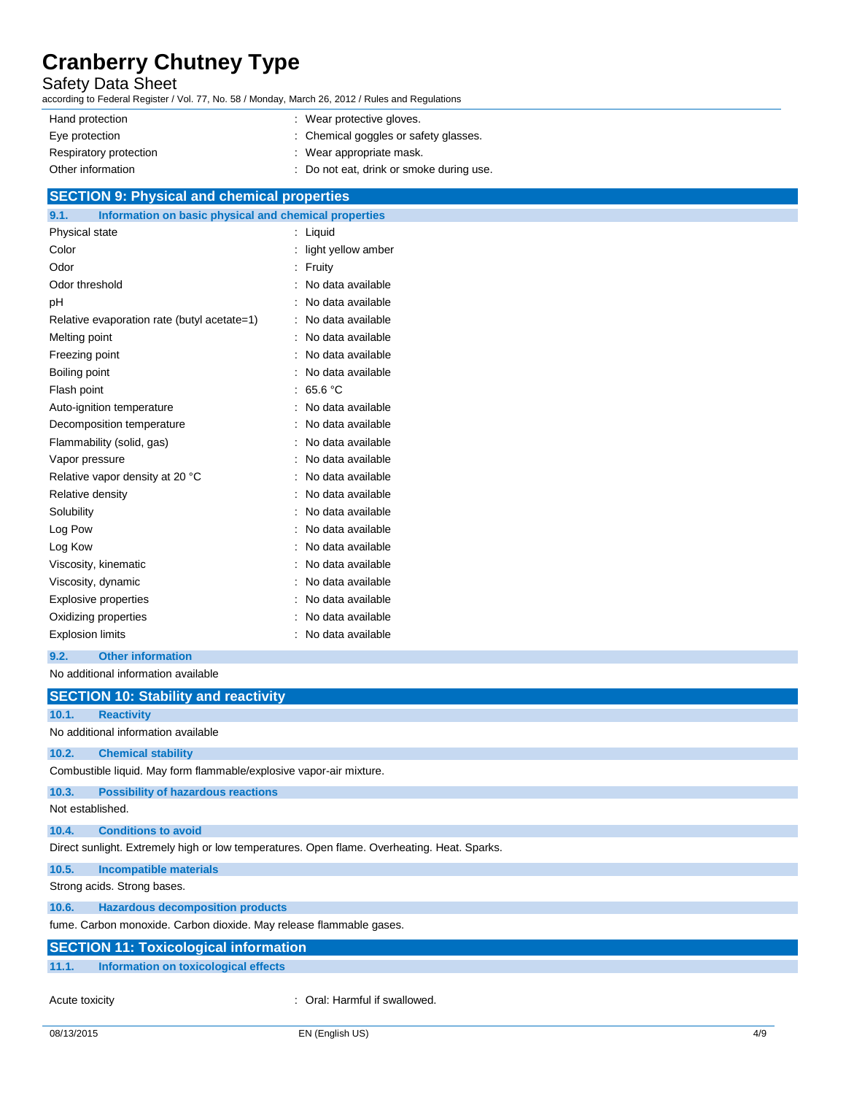### Safety Data Sheet

according to Federal Register / Vol. 77, No. 58 / Monday, March 26, 2012 / Rules and Regulations

| Hand protection        | : Wear protective gloves.                |
|------------------------|------------------------------------------|
| Eye protection         | : Chemical goggles or safety glasses.    |
| Respiratory protection | : Wear appropriate mask.                 |
| Other information      | : Do not eat, drink or smoke during use. |
|                        |                                          |

#### **SECTION 9: Physical and chemical properties**

| 9.1.<br>Information on basic physical and chemical properties |                    |
|---------------------------------------------------------------|--------------------|
| Physical state                                                | Liquid             |
| Color                                                         | light yellow amber |
| Odor                                                          | Fruity             |
| Odor threshold                                                | No data available  |
| pH                                                            | No data available  |
| Relative evaporation rate (butyl acetate=1)                   | No data available  |
| Melting point                                                 | No data available  |
| Freezing point                                                | No data available  |
| Boiling point                                                 | No data available  |
| Flash point                                                   | 65.6 °C            |
| Auto-ignition temperature                                     | No data available  |
| Decomposition temperature                                     | No data available  |
| Flammability (solid, gas)                                     | No data available  |
| Vapor pressure                                                | No data available  |
| Relative vapor density at 20 °C                               | No data available  |
| Relative density                                              | No data available  |
| Solubility                                                    | No data available  |
| Log Pow                                                       | No data available  |
| Log Kow                                                       | No data available  |
| Viscosity, kinematic                                          | No data available  |
| Viscosity, dynamic                                            | No data available  |
| <b>Explosive properties</b>                                   | No data available  |
| Oxidizing properties                                          | No data available  |
| <b>Explosion limits</b>                                       | No data available  |

**9.2. Other information**

No additional information available

|                  | <b>SECTION 10: Stability and reactivity</b>                                                 |
|------------------|---------------------------------------------------------------------------------------------|
| 10.1.            | <b>Reactivity</b>                                                                           |
|                  | No additional information available                                                         |
| 10.2.            | <b>Chemical stability</b>                                                                   |
|                  | Combustible liquid. May form flammable/explosive vapor-air mixture.                         |
| 10.3.            | <b>Possibility of hazardous reactions</b>                                                   |
| Not established. |                                                                                             |
| 10.4.            | <b>Conditions to avoid</b>                                                                  |
|                  | Direct sunlight. Extremely high or low temperatures. Open flame. Overheating. Heat. Sparks. |
| 10.5.            | <b>Incompatible materials</b>                                                               |
|                  | Strong acids. Strong bases.                                                                 |
| 10.6.            | <b>Hazardous decomposition products</b>                                                     |
|                  | fume. Carbon monoxide. Carbon dioxide. May release flammable gases.                         |
|                  | <b>SECTION 11: Toxicological information</b>                                                |
| 11.1.            | Information on toxicological effects                                                        |
| Acute toxicity   | : Oral: Harmful if swallowed.                                                               |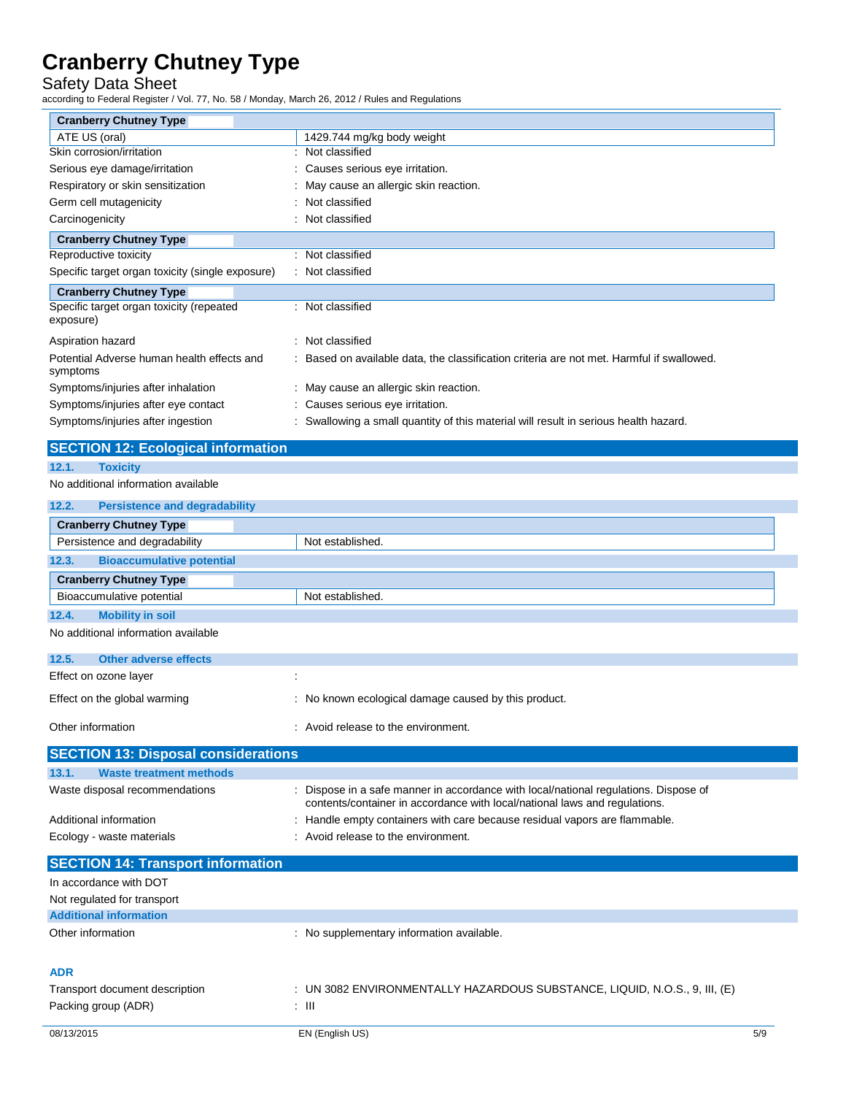Safety Data Sheet

L.

|                                                        | ccording to Federal Register / Vol. 77, No. 58 / Monday, March 26, 2012 / Rules and Regulations |
|--------------------------------------------------------|-------------------------------------------------------------------------------------------------|
| <b>Cranberry Chutney Type</b>                          |                                                                                                 |
| ATE US (oral)                                          | 1429.744 mg/kg body weight                                                                      |
| Skin corrosion/irritation                              | : Not classified                                                                                |
| Serious eye damage/irritation                          | Causes serious eye irritation.                                                                  |
| Respiratory or skin sensitization                      | May cause an allergic skin reaction.                                                            |
| Germ cell mutagenicity                                 | Not classified                                                                                  |
| Carcinogenicity                                        | Not classified                                                                                  |
| <b>Cranberry Chutney Type</b>                          |                                                                                                 |
| Reproductive toxicity                                  | : Not classified                                                                                |
| Specific target organ toxicity (single exposure)       | : Not classified                                                                                |
| <b>Cranberry Chutney Type</b>                          |                                                                                                 |
| Specific target organ toxicity (repeated<br>exposure)  | : Not classified                                                                                |
| Aspiration hazard                                      | : Not classified                                                                                |
| Potential Adverse human health effects and<br>symptoms | Based on available data, the classification criteria are not met. Harmful if swallowed.         |
| Symptoms/injuries after inhalation                     | : May cause an allergic skin reaction.                                                          |
| Symptoms/injuries after eye contact                    | Causes serious eye irritation.                                                                  |
| Symptoms/injuries after ingestion                      | Swallowing a small quantity of this material will result in serious health hazard.              |
| <b>SECTION 12: Ecological information</b>              |                                                                                                 |
| 12.1.<br><b>Toxicity</b>                               |                                                                                                 |
| No additional information available                    |                                                                                                 |
| 12.2.<br><b>Persistence and degradability</b>          |                                                                                                 |
| <b>Cranberry Chutney Type</b>                          |                                                                                                 |
| Persistence and degradability                          | Not established                                                                                 |
| 12.3.<br><b>Bioaccumulative potential</b>              |                                                                                                 |
|                                                        |                                                                                                 |
| <b>Cranberry Chutney Type</b>                          |                                                                                                 |
| Bioaccumulative potential                              | Not established                                                                                 |
| <b>Mobility in soil</b><br>12.4.                       |                                                                                                 |
| No additional information available                    |                                                                                                 |
| 12.5.<br><b>Other adverse effects</b>                  |                                                                                                 |
| Effect on ozone layer                                  |                                                                                                 |
| Effect on the global warming                           | No known ecological damage caused by this product.                                              |
| Other information                                      | Avoid release to the environment.                                                               |
| <b>SECTION 13: Disposal considerations</b>             |                                                                                                 |

| Waste disposal recommendations           | Dispose in a safe manner in accordance with local/national regulations. Dispose of<br>contents/container in accordance with local/national laws and regulations. |
|------------------------------------------|------------------------------------------------------------------------------------------------------------------------------------------------------------------|
| Additional information                   | Handle empty containers with care because residual vapors are flammable.                                                                                         |
| Ecology - waste materials                | Avoid release to the environment.                                                                                                                                |
| <b>SECTION 14: Transport information</b> |                                                                                                                                                                  |

| $\overline{1}$                 |                                                                            |     |
|--------------------------------|----------------------------------------------------------------------------|-----|
| In accordance with DOT         |                                                                            |     |
| Not regulated for transport    |                                                                            |     |
| <b>Additional information</b>  |                                                                            |     |
| Other information              | : No supplementary information available.                                  |     |
| <b>ADR</b>                     |                                                                            |     |
| Transport document description | : UN 3082 ENVIRONMENTALLY HAZARDOUS SUBSTANCE, LIQUID, N.O.S., 9, III, (E) |     |
| Packing group (ADR)            | : III                                                                      |     |
| 08/13/2015                     | EN (English US)                                                            | 5/9 |
|                                |                                                                            |     |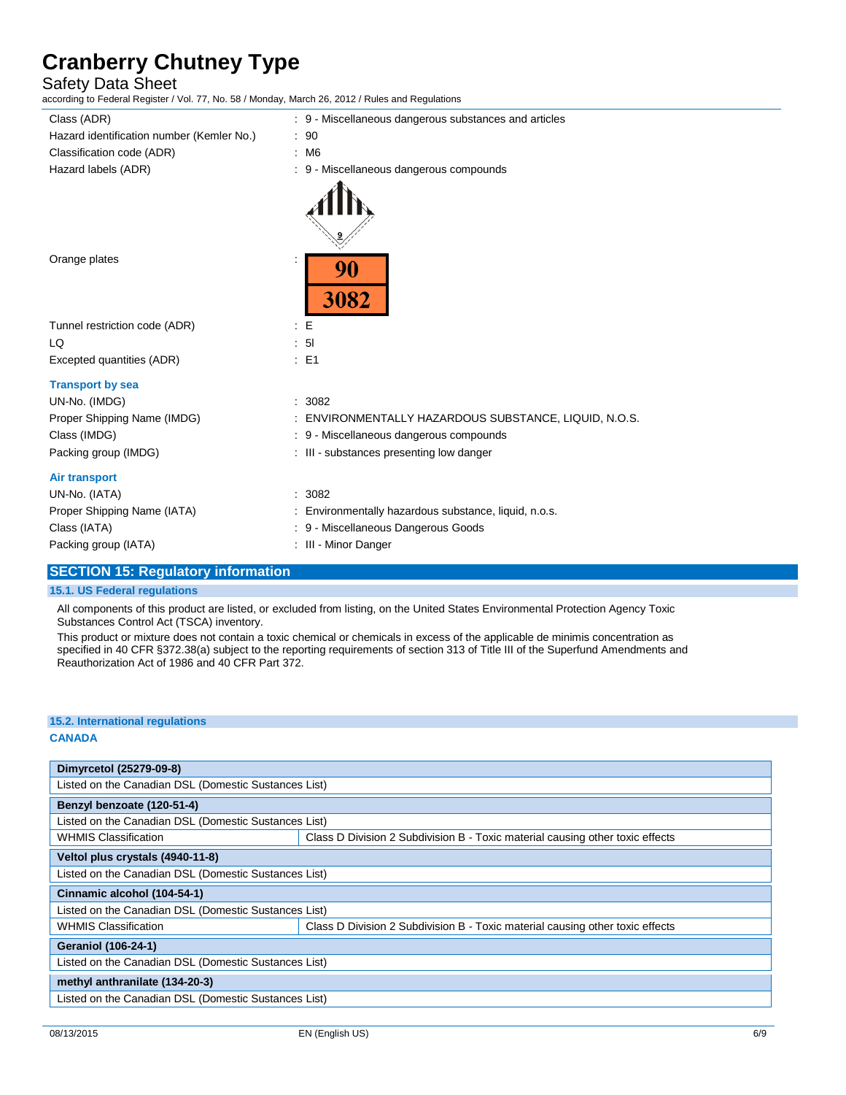## Safety Data Sheet

according to Federal Register / Vol. 77, No. 58 / Monday, March 26, 2012 / Rules and Regulations

| Class (ADR)                               | : 9 - Miscellaneous dangerous substances and articles |
|-------------------------------------------|-------------------------------------------------------|
| Hazard identification number (Kemler No.) | : 90                                                  |
| Classification code (ADR)                 | : M6                                                  |
| Hazard labels (ADR)                       | : 9 - Miscellaneous dangerous compounds               |
|                                           |                                                       |
| Orange plates                             | 90<br>3082                                            |
| Tunnel restriction code (ADR)             | : E                                                   |
| LQ                                        | : 51                                                  |
| Excepted quantities (ADR)                 | $\therefore$ E1                                       |
| <b>Transport by sea</b>                   |                                                       |
| UN-No. (IMDG)                             | : 3082                                                |
| Proper Shipping Name (IMDG)               | ENVIRONMENTALLY HAZARDOUS SUBSTANCE, LIQUID, N.O.S.   |
| Class (IMDG)                              | : 9 - Miscellaneous dangerous compounds               |
| Packing group (IMDG)                      | : III - substances presenting low danger              |
| Air transport                             |                                                       |
| UN-No. (IATA)                             | : 3082                                                |
| Proper Shipping Name (IATA)               | : Environmentally hazardous substance, liquid, n.o.s. |
| Class (IATA)                              | : 9 - Miscellaneous Dangerous Goods                   |
| Packing group (IATA)                      | : III - Minor Danger                                  |
|                                           |                                                       |

### **SECTION 15: Regulatory information**

#### **15.1. US Federal regulations**

All components of this product are listed, or excluded from listing, on the United States Environmental Protection Agency Toxic Substances Control Act (TSCA) inventory.

This product or mixture does not contain a toxic chemical or chemicals in excess of the applicable de minimis concentration as specified in 40 CFR §372.38(a) subject to the reporting requirements of section 313 of Title III of the Superfund Amendments and Reauthorization Act of 1986 and 40 CFR Part 372.

### **15.2. International regulations**

#### **CANADA**

| Dimyrcetol (25279-09-8)                              |                                                                               |  |
|------------------------------------------------------|-------------------------------------------------------------------------------|--|
| Listed on the Canadian DSL (Domestic Sustances List) |                                                                               |  |
| Benzyl benzoate (120-51-4)                           |                                                                               |  |
| Listed on the Canadian DSL (Domestic Sustances List) |                                                                               |  |
| <b>WHMIS Classification</b>                          | Class D Division 2 Subdivision B - Toxic material causing other toxic effects |  |
| Veltol plus crystals (4940-11-8)                     |                                                                               |  |
| Listed on the Canadian DSL (Domestic Sustances List) |                                                                               |  |
| Cinnamic alcohol (104-54-1)                          |                                                                               |  |
| Listed on the Canadian DSL (Domestic Sustances List) |                                                                               |  |
| <b>WHMIS Classification</b>                          | Class D Division 2 Subdivision B - Toxic material causing other toxic effects |  |
| <b>Geraniol (106-24-1)</b>                           |                                                                               |  |
| Listed on the Canadian DSL (Domestic Sustances List) |                                                                               |  |
| methyl anthranilate (134-20-3)                       |                                                                               |  |
| Listed on the Canadian DSL (Domestic Sustances List) |                                                                               |  |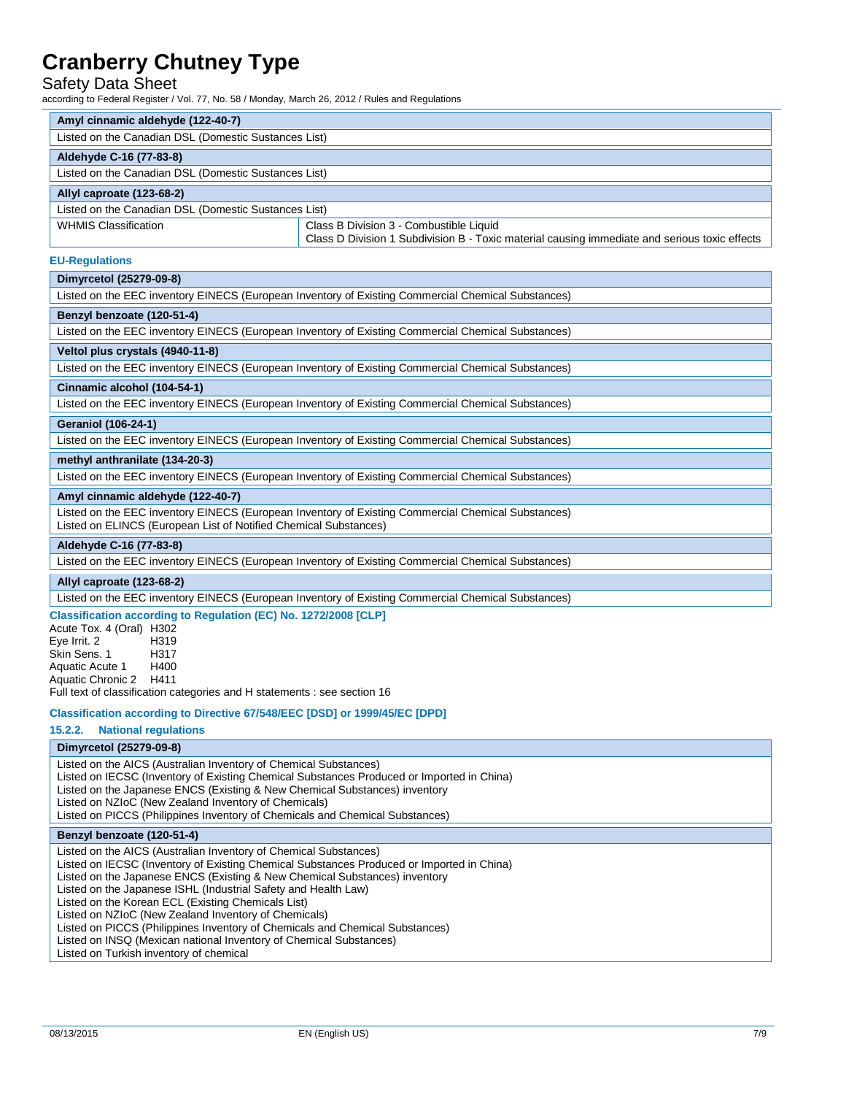### Safety Data Sheet

according to Federal Register / Vol. 77, No. 58 / Monday, March 26, 2012 / Rules and Regulations

| ccording to Federal Register / Vol. 77, No. 58 / Monday, March 26, 2012 / Rules and Regulations                                                                                                                                                                                                                                                                                                                             |                                                                                                                                          |  |  |  |  |
|-----------------------------------------------------------------------------------------------------------------------------------------------------------------------------------------------------------------------------------------------------------------------------------------------------------------------------------------------------------------------------------------------------------------------------|------------------------------------------------------------------------------------------------------------------------------------------|--|--|--|--|
| Amyl cinnamic aldehyde (122-40-7)                                                                                                                                                                                                                                                                                                                                                                                           |                                                                                                                                          |  |  |  |  |
| Listed on the Canadian DSL (Domestic Sustances List)                                                                                                                                                                                                                                                                                                                                                                        |                                                                                                                                          |  |  |  |  |
| Aldehyde C-16 (77-83-8)                                                                                                                                                                                                                                                                                                                                                                                                     |                                                                                                                                          |  |  |  |  |
| Listed on the Canadian DSL (Domestic Sustances List)                                                                                                                                                                                                                                                                                                                                                                        |                                                                                                                                          |  |  |  |  |
| Allyl caproate (123-68-2)                                                                                                                                                                                                                                                                                                                                                                                                   |                                                                                                                                          |  |  |  |  |
| Listed on the Canadian DSL (Domestic Sustances List)                                                                                                                                                                                                                                                                                                                                                                        |                                                                                                                                          |  |  |  |  |
| <b>WHMIS Classification</b>                                                                                                                                                                                                                                                                                                                                                                                                 | Class B Division 3 - Combustible Liquid<br>Class D Division 1 Subdivision B - Toxic material causing immediate and serious toxic effects |  |  |  |  |
| <b>EU-Regulations</b>                                                                                                                                                                                                                                                                                                                                                                                                       |                                                                                                                                          |  |  |  |  |
| Dimyrcetol (25279-09-8)                                                                                                                                                                                                                                                                                                                                                                                                     |                                                                                                                                          |  |  |  |  |
|                                                                                                                                                                                                                                                                                                                                                                                                                             | Listed on the EEC inventory EINECS (European Inventory of Existing Commercial Chemical Substances)                                       |  |  |  |  |
| Benzyl benzoate (120-51-4)                                                                                                                                                                                                                                                                                                                                                                                                  |                                                                                                                                          |  |  |  |  |
|                                                                                                                                                                                                                                                                                                                                                                                                                             | Listed on the EEC inventory EINECS (European Inventory of Existing Commercial Chemical Substances)                                       |  |  |  |  |
| Veltol plus crystals (4940-11-8)                                                                                                                                                                                                                                                                                                                                                                                            |                                                                                                                                          |  |  |  |  |
|                                                                                                                                                                                                                                                                                                                                                                                                                             | Listed on the EEC inventory EINECS (European Inventory of Existing Commercial Chemical Substances)                                       |  |  |  |  |
| Cinnamic alcohol (104-54-1)                                                                                                                                                                                                                                                                                                                                                                                                 |                                                                                                                                          |  |  |  |  |
|                                                                                                                                                                                                                                                                                                                                                                                                                             | Listed on the EEC inventory EINECS (European Inventory of Existing Commercial Chemical Substances)                                       |  |  |  |  |
| <b>Geraniol (106-24-1)</b>                                                                                                                                                                                                                                                                                                                                                                                                  |                                                                                                                                          |  |  |  |  |
|                                                                                                                                                                                                                                                                                                                                                                                                                             | Listed on the EEC inventory EINECS (European Inventory of Existing Commercial Chemical Substances)                                       |  |  |  |  |
| methyl anthranilate (134-20-3)                                                                                                                                                                                                                                                                                                                                                                                              |                                                                                                                                          |  |  |  |  |
|                                                                                                                                                                                                                                                                                                                                                                                                                             | Listed on the EEC inventory EINECS (European Inventory of Existing Commercial Chemical Substances)                                       |  |  |  |  |
| Amyl cinnamic aldehyde (122-40-7)                                                                                                                                                                                                                                                                                                                                                                                           |                                                                                                                                          |  |  |  |  |
| Listed on ELINCS (European List of Notified Chemical Substances)                                                                                                                                                                                                                                                                                                                                                            | Listed on the EEC inventory EINECS (European Inventory of Existing Commercial Chemical Substances)                                       |  |  |  |  |
| Aldehyde C-16 (77-83-8)                                                                                                                                                                                                                                                                                                                                                                                                     |                                                                                                                                          |  |  |  |  |
|                                                                                                                                                                                                                                                                                                                                                                                                                             | Listed on the EEC inventory EINECS (European Inventory of Existing Commercial Chemical Substances)                                       |  |  |  |  |
| Allyl caproate (123-68-2)                                                                                                                                                                                                                                                                                                                                                                                                   |                                                                                                                                          |  |  |  |  |
|                                                                                                                                                                                                                                                                                                                                                                                                                             | Listed on the EEC inventory EINECS (European Inventory of Existing Commercial Chemical Substances)                                       |  |  |  |  |
| Classification according to Regulation (EC) No. 1272/2008 [CLP]<br>Acute Tox. 4 (Oral) H302<br>Eye Irrit. 2<br>H319<br>Skin Sens. 1<br>H317<br>Aquatic Acute 1<br>H400<br>Aquatic Chronic 2<br>H411<br>Full text of classification categories and H statements : see section 16                                                                                                                                             |                                                                                                                                          |  |  |  |  |
| Classification according to Directive 67/548/EEC [DSD] or 1999/45/EC [DPD]                                                                                                                                                                                                                                                                                                                                                  |                                                                                                                                          |  |  |  |  |
| 15.2.2.<br><b>National requlations</b>                                                                                                                                                                                                                                                                                                                                                                                      |                                                                                                                                          |  |  |  |  |
| Dimyrcetol (25279-09-8)                                                                                                                                                                                                                                                                                                                                                                                                     |                                                                                                                                          |  |  |  |  |
| Listed on the AICS (Australian Inventory of Chemical Substances)<br>Listed on IECSC (Inventory of Existing Chemical Substances Produced or Imported in China)<br>Listed on the Japanese ENCS (Existing & New Chemical Substances) inventory<br>Listed on NZIoC (New Zealand Inventory of Chemicals)<br>Listed on PICCS (Philippines Inventory of Chemicals and Chemical Substances)                                         |                                                                                                                                          |  |  |  |  |
| Benzyl benzoate (120-51-4)                                                                                                                                                                                                                                                                                                                                                                                                  |                                                                                                                                          |  |  |  |  |
| Listed on the AICS (Australian Inventory of Chemical Substances)<br>Listed on IECSC (Inventory of Existing Chemical Substances Produced or Imported in China)<br>Listed on the Japanese ENCS (Existing & New Chemical Substances) inventory<br>Listed on the Japanese ISHL (Industrial Safety and Health Law)<br>Listed on the Korean ECL (Existing Chemicals List)<br>Listed on NZIoC (New Zealand Inventory of Chemicals) |                                                                                                                                          |  |  |  |  |

Listed on PICCS (Philippines Inventory of Chemicals and Chemical Substances)

Listed on INSQ (Mexican national Inventory of Chemical Substances)

Listed on Turkish inventory of chemical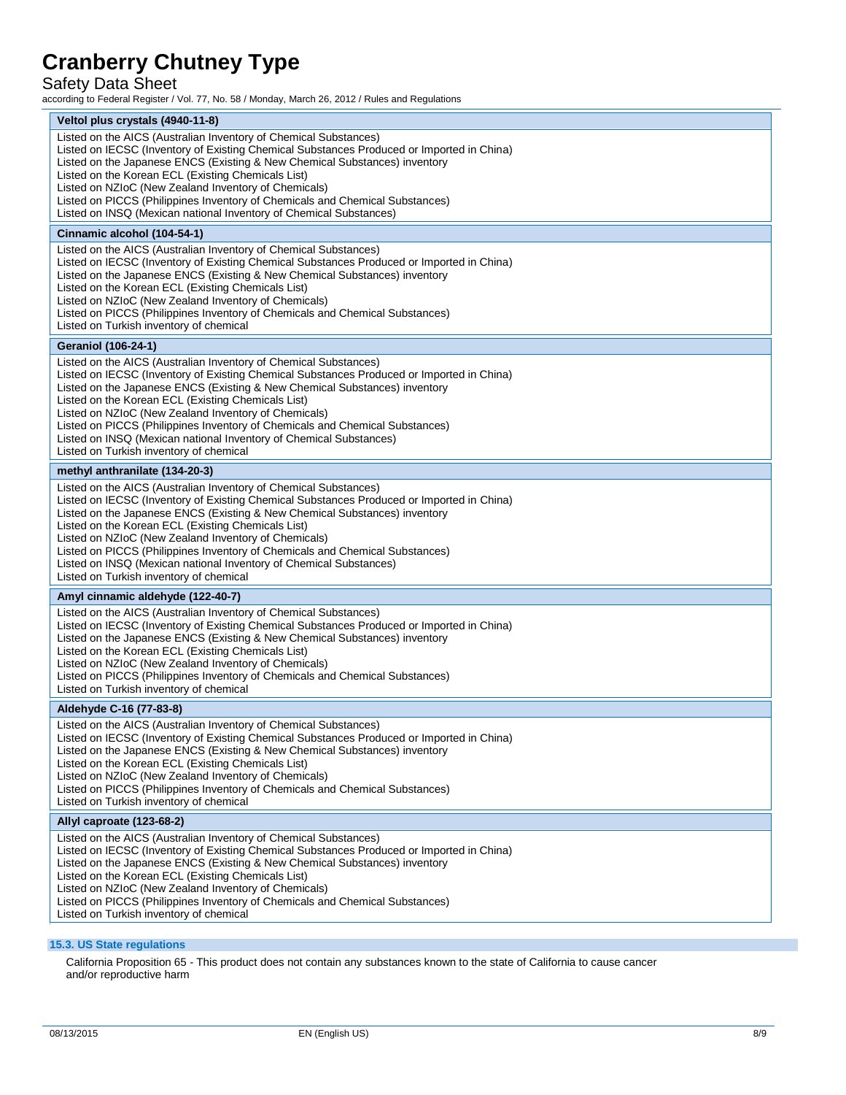### Safety Data Sheet

according to Federal Register / Vol. 77, No. 58 / Monday, March 26, 2012 / Rules and Regulations

| Veltol plus crystals (4940-11-8)                                                                                                                                        |
|-------------------------------------------------------------------------------------------------------------------------------------------------------------------------|
| Listed on the AICS (Australian Inventory of Chemical Substances)                                                                                                        |
| Listed on IECSC (Inventory of Existing Chemical Substances Produced or Imported in China)                                                                               |
| Listed on the Japanese ENCS (Existing & New Chemical Substances) inventory<br>Listed on the Korean ECL (Existing Chemicals List)                                        |
| Listed on NZIoC (New Zealand Inventory of Chemicals)                                                                                                                    |
| Listed on PICCS (Philippines Inventory of Chemicals and Chemical Substances)                                                                                            |
| Listed on INSQ (Mexican national Inventory of Chemical Substances)                                                                                                      |
| Cinnamic alcohol (104-54-1)                                                                                                                                             |
| Listed on the AICS (Australian Inventory of Chemical Substances)                                                                                                        |
| Listed on IECSC (Inventory of Existing Chemical Substances Produced or Imported in China)                                                                               |
| Listed on the Japanese ENCS (Existing & New Chemical Substances) inventory<br>Listed on the Korean ECL (Existing Chemicals List)                                        |
| Listed on NZIoC (New Zealand Inventory of Chemicals)                                                                                                                    |
| Listed on PICCS (Philippines Inventory of Chemicals and Chemical Substances)                                                                                            |
| Listed on Turkish inventory of chemical                                                                                                                                 |
| <b>Geraniol (106-24-1)</b>                                                                                                                                              |
| Listed on the AICS (Australian Inventory of Chemical Substances)                                                                                                        |
| Listed on IECSC (Inventory of Existing Chemical Substances Produced or Imported in China)                                                                               |
| Listed on the Japanese ENCS (Existing & New Chemical Substances) inventory<br>Listed on the Korean ECL (Existing Chemicals List)                                        |
| Listed on NZIoC (New Zealand Inventory of Chemicals)                                                                                                                    |
| Listed on PICCS (Philippines Inventory of Chemicals and Chemical Substances)                                                                                            |
| Listed on INSQ (Mexican national Inventory of Chemical Substances)                                                                                                      |
| Listed on Turkish inventory of chemical                                                                                                                                 |
| methyl anthranilate (134-20-3)                                                                                                                                          |
| Listed on the AICS (Australian Inventory of Chemical Substances)                                                                                                        |
| Listed on IECSC (Inventory of Existing Chemical Substances Produced or Imported in China)<br>Listed on the Japanese ENCS (Existing & New Chemical Substances) inventory |
| Listed on the Korean ECL (Existing Chemicals List)                                                                                                                      |
| Listed on NZIoC (New Zealand Inventory of Chemicals)                                                                                                                    |
| Listed on PICCS (Philippines Inventory of Chemicals and Chemical Substances)<br>Listed on INSQ (Mexican national Inventory of Chemical Substances)                      |
| Listed on Turkish inventory of chemical                                                                                                                                 |
| Amyl cinnamic aldehyde (122-40-7)                                                                                                                                       |
| Listed on the AICS (Australian Inventory of Chemical Substances)                                                                                                        |
| Listed on IECSC (Inventory of Existing Chemical Substances Produced or Imported in China)                                                                               |
| Listed on the Japanese ENCS (Existing & New Chemical Substances) inventory                                                                                              |
| Listed on the Korean ECL (Existing Chemicals List)                                                                                                                      |
| Listed on NZIoC (New Zealand Inventory of Chemicals)<br>Listed on PICCS (Philippines Inventory of Chemicals and Chemical Substances)                                    |
| Listed on Turkish inventory of chemical                                                                                                                                 |
| Aldehyde C-16 (77-83-8)                                                                                                                                                 |
| Listed on the AICS (Australian Inventory of Chemical Substances)                                                                                                        |
| Listed on IECSC (Inventory of Existing Chemical Substances Produced or Imported in China)                                                                               |
| Listed on the Japanese ENCS (Existing & New Chemical Substances) inventory                                                                                              |
| Listed on the Korean ECL (Existing Chemicals List)<br>Listed on NZIoC (New Zealand Inventory of Chemicals)                                                              |
| Listed on PICCS (Philippines Inventory of Chemicals and Chemical Substances)                                                                                            |
| Listed on Turkish inventory of chemical                                                                                                                                 |
| Allyl caproate (123-68-2)                                                                                                                                               |
| Listed on the AICS (Australian Inventory of Chemical Substances)                                                                                                        |
| Listed on IECSC (Inventory of Existing Chemical Substances Produced or Imported in China)                                                                               |
| Listed on the Japanese ENCS (Existing & New Chemical Substances) inventory                                                                                              |
| Listed on the Korean ECL (Existing Chemicals List)<br>Listed on NZIoC (New Zealand Inventory of Chemicals)                                                              |
| Listed on PICCS (Philippines Inventory of Chemicals and Chemical Substances)                                                                                            |
| Listed on Turkish inventory of chemical                                                                                                                                 |
|                                                                                                                                                                         |

### **15.3. US State regulations**

California Proposition 65 - This product does not contain any substances known to the state of California to cause cancer and/or reproductive harm